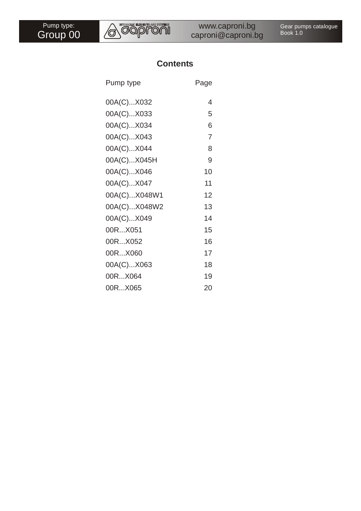

## **Contents**

| Pump type    | Page |
|--------------|------|
| 00A(C)X032   | 4    |
| 00A(C)X033   | 5    |
| 00A(C)X034   | 6    |
| 00A(C)X043   | 7    |
| 00A(C)X044   | 8    |
| 00A(C)X045H  | 9    |
| 00A(C)X046   | 10   |
| 00A(C)X047   | 11   |
| 00A(C)X048W1 | 12   |
| 00A(C)X048W2 | 13   |
| 00A(C)X049   | 14   |
| 00RX051      | 15   |
| 00RX052      | 16   |
| 00RX060      | 17   |
| 00A(C)X063   | 18   |
| 00RX064      | 19   |
| 00RX065      | 20   |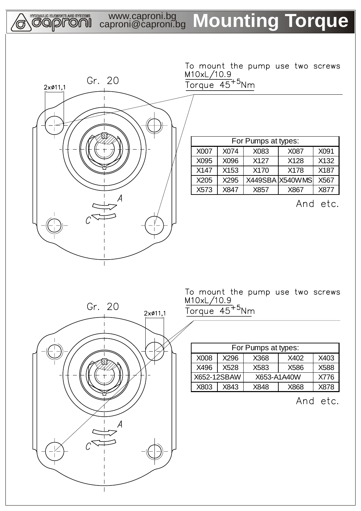**EXPORT OF THE STATE AND STRING** 

# www.caproni.bg Mounting Torque



To mount the pump use two screws M10xL/10.9

| For Pumps at types: |      |      |                 |      |  |  |  |  |  |  |  |
|---------------------|------|------|-----------------|------|--|--|--|--|--|--|--|
| X007                | X074 | X083 | X087            | X091 |  |  |  |  |  |  |  |
| X095                | X096 | X127 | X128            | X132 |  |  |  |  |  |  |  |
| X147                | X153 | X170 | X178            | X187 |  |  |  |  |  |  |  |
| X205                | X295 |      | X449SBA X540WMS | X567 |  |  |  |  |  |  |  |
| X573                | X847 | X857 | X867            | X877 |  |  |  |  |  |  |  |

And etc.



To mount the pump use two screws M10xL/10.9  $\frac{11.6 \times 10^{13} \text{ m}}{1 \text{ or que } 45^{+5} \text{Nm}}$ 

| For Pumps at types: |                      |              |      |      |  |  |  |  |  |  |  |
|---------------------|----------------------|--------------|------|------|--|--|--|--|--|--|--|
| X008                | X296<br>X402<br>X368 |              |      |      |  |  |  |  |  |  |  |
| X496                | X528                 | X583<br>X586 |      |      |  |  |  |  |  |  |  |
|                     | X652-12SBAW          | X653-A1A40W  |      | X776 |  |  |  |  |  |  |  |
| X803                | X843                 | X848         | X868 | X878 |  |  |  |  |  |  |  |

And etc.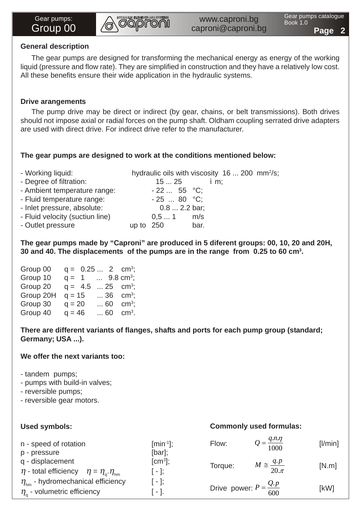

### **General description**

The gear pumps are designed for transforming the mechanical energy as energy of the working liquid (pressure and flow rate). They are simplified in construction and they have a relatively low cost. All these benefits ensure their wide application in the hydraulic systems.

#### **Drive arangements**

The pump drive may be direct or indirect (by gear, chains, or belt transmissions). Both drives should not impose axial or radial forces on the pump shaft. Oldham coupling serrated drive adapters are used with direct drive. For indirect drive refer to the manufacturer.

#### **The gear pumps are designed to work at the conditions mentioned below:**

| - Working liquid:               |             | hydraulic oils with viscosity 16  200 mm <sup>2</sup> /s; |      |  |
|---------------------------------|-------------|-----------------------------------------------------------|------|--|
| - Degree of filtration:         |             | 15  25                                                    | ì m: |  |
| - Ambient temperature range:    |             | $-22$ 55 °C;                                              |      |  |
| - Fluid temperature range:      |             | $-25$ 80 °C;                                              |      |  |
| - Inlet pressure, absolute:     |             | $0.82.2$ bar;                                             |      |  |
| - Fluid velocity (suctiun line) |             | 0.51                                                      | m/s  |  |
| - Outlet pressure               | up to $250$ |                                                           | bar. |  |

**The gear pumps made by "Caproni" are produced in 5 diferent groups: 00, 10, 20 and 20H, 30 and 40. The displacements of the pumps are in the range from 0.25 to 60 cm3 .**

| Group 00  |           |  | $q = 0.25 2$ cm <sup>3</sup> ; |
|-----------|-----------|--|--------------------------------|
| Group 10  |           |  | $q = 1$ 9.8 cm <sup>3</sup> ;  |
| Group 20  | $q = 4.5$ |  | 25 cm <sup>3</sup> ;           |
| Group 20H | $q = 15$  |  | 36 cm <sup>3</sup> ;           |
| Group 30  | $q = 20$  |  | 60 cm <sup>3</sup> ;           |
| Group 40  | $q = 46$  |  | $ 60$ cm <sup>3</sup> .        |

**There are different variants of flanges, shafts and ports for each pump group (standard; Germany; USA ...).**

#### **We offer the next variants too:**

- tandem pumps;
- pumps with build-in valves;
- reversible pumps;
- reversible gear motors.

#### **Used symbols:**  $n - speed of rotation$  [min<sup>-1</sup>]; p - pressure [bar];  $q -$  displacement  $\text{[cm}^3$ ]:  $\eta$  - total efficiency  $\eta = \eta_{q} \cdot \eta_{hm}$  [ - ]; **Commonly used formulas:** Flow:  $Q = \frac{q.n.\eta}{1000}$  [l/min]  $\text{Torque:} \qquad M \cong \frac{q.p}{20.\pi}$  [N.m]

 $\eta_{hm}$  - hydromechanical efficiency [ - ];  $\eta_{\rm o}$  - volumetric efficiency [ - ]. Drive power:  $P = \frac{Q \cdot p}{600}$  [kW]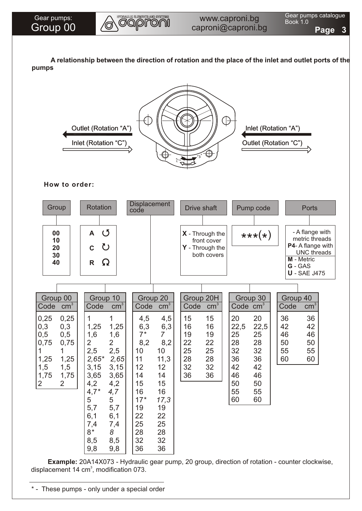

**Page 3**

**A relationship between the direction of rotation and the place of the inlet and outlet ports of the pumps**



#### **How to order:**

| Group                                                                                                                                                                          | <b>Rotation</b>                                                                                                                                                                                                                                                                                 | <b>Displacement</b><br>code                                                                                                                                                                                                                                                | <b>Drive shaft</b>                                                                                                                   | Pump code                                                                                                                                                      | <b>Ports</b>                                                                                                                 |
|--------------------------------------------------------------------------------------------------------------------------------------------------------------------------------|-------------------------------------------------------------------------------------------------------------------------------------------------------------------------------------------------------------------------------------------------------------------------------------------------|----------------------------------------------------------------------------------------------------------------------------------------------------------------------------------------------------------------------------------------------------------------------------|--------------------------------------------------------------------------------------------------------------------------------------|----------------------------------------------------------------------------------------------------------------------------------------------------------------|------------------------------------------------------------------------------------------------------------------------------|
| 00<br>10<br>20<br>30<br>40                                                                                                                                                     | $\circlearrowleft$<br>A<br>U<br>$\mathbf C$<br>Ω<br>$\mathsf{R}$                                                                                                                                                                                                                                |                                                                                                                                                                                                                                                                            | X - Through the<br>front cover<br>Y - Through the<br>both covers                                                                     | $***(*)$                                                                                                                                                       | - A flange with<br>metric threads<br>P4- A flange with<br><b>UNC</b> threads<br>M - Metric<br>G - GAS<br><b>U</b> - SAE J475 |
| Group 00<br>cm <sup>3</sup><br>Code<br>0,25<br>0,25<br>0,3<br>0,3<br>0,5<br>0,5<br>0,75<br>0,75<br>1<br>1<br>1,25<br>1,25<br>1,5<br>1,5<br>1,75<br>1,75<br>2<br>$\overline{2}$ | Group 10<br>cm <sup>3</sup><br>Code<br>1<br>1<br>1,25<br>1,25<br>1,6<br>1,6<br>$\overline{2}$<br>2<br>2,5<br>2,5<br>$2,65*$<br>2,65<br>3,15<br>3,15<br>3,65<br>3,65<br>4,2<br>4,2<br>$4,7*$<br>4,7<br>5<br>5<br>5,7<br>5,7<br>6,1<br>6,1<br>7,4<br>7,4<br>$8*$<br>8<br>8,5<br>8,5<br>9,8<br>9,8 | Group 20<br>cm <sup>3</sup><br>Code<br>4,5<br>4,5<br>6,3<br>6,3<br>$\overline{7}$<br>$7*$<br>8,2<br>8,2<br>10<br>10<br>11<br>11,3<br>12<br>12<br>14<br>14<br>15<br>15<br>16<br>16<br>$17*$<br>17,3<br>19<br>19<br>22<br>22<br>25<br>25<br>28<br>28<br>32<br>32<br>36<br>36 | Group 20H<br>cm <sup>3</sup><br>Code<br>15<br>15<br>16<br>16<br>19<br>19<br>22<br>22<br>25<br>25<br>28<br>28<br>32<br>32<br>36<br>36 | Group 30<br>Code $cm3$<br>20<br>20<br>22,5<br>22,5<br>25<br>25<br>28<br>28<br>32<br>32<br>36<br>36<br>42<br>42<br>46<br>46<br>50<br>50<br>55<br>55<br>60<br>60 | Group 40<br>cm <sup>3</sup><br>Code<br>36<br>36<br>42<br>42<br>46<br>46<br>50<br>50<br>55<br>55<br>60<br>60                  |

 **Example:** 20A14X073 - Hydraulic gear pump, 20 group, direction of rotation - counter clockwise, displacement 14 cm $3$ , modification 073.

\* - These pumps - only under a special order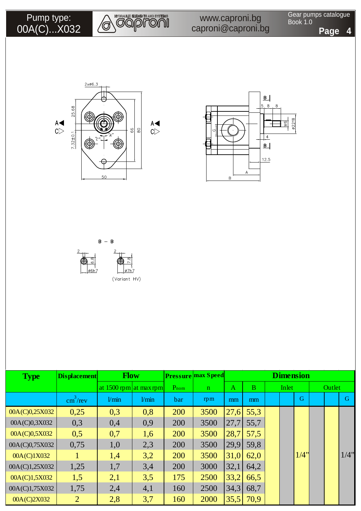

Gear pumps catalogue Book 1.0

**Page 4**







| <b>Type</b>    | <b>Displacement</b>      | <b>Flow</b>            |       |           | <b>Pressure max Speed</b> |              |      |       | <b>Dimension</b> |        |             |
|----------------|--------------------------|------------------------|-------|-----------|---------------------------|--------------|------|-------|------------------|--------|-------------|
|                |                          | at 1500 rpm at max rpm |       | $P_{nom}$ | n                         | $\mathbf{A}$ | B.   | Inlet |                  | Outlet |             |
|                | $\text{cm}^3/\text{rev}$ | l/min                  | 1/min | bar       | rpm                       | mm           | mm   |       | G                |        | $\mathbf G$ |
| 00A(C)0,25X032 | 0,25                     | 0,3                    | 0,8   | 200       | 3500                      | 27,6         | 55,3 |       |                  |        |             |
| 00A(C)0,3X032  | 0,3                      | 0,4                    | 0,9   | 200       | 3500                      | 27,7         | 55,7 |       |                  |        |             |
| 00A(C)0,5X032  | 0,5                      | 0,7                    | 1,6   | 200       | 3500                      | 28,7         | 57.5 |       |                  |        |             |
| 00A(C)0,75X032 | 0,75                     | 1,0                    | 2,3   | 200       | 3500                      | 29,9         | 59,8 |       |                  |        |             |
| 00A(C)1X032    |                          | 1,4                    | 3,2   | 200       | 3500                      | 31,0         | 62,0 |       | 1/4"             |        | 1/4"        |
| 00A(C)1,25X032 | 1,25                     | 1,7                    | 3,4   | 200       | 3000                      | 32,1         | 64,2 |       |                  |        |             |
| 00A(C)1,5X032  | 1,5                      | 2,1                    | 3,5   | 175       | 2500                      | 33,2         | 66,5 |       |                  |        |             |
| 00A(C)1,75X032 | 1,75                     | 2,4                    | 4,1   | 160       | 2500                      | 34,3         | 68,7 |       |                  |        |             |
| 00A(C)2X032    | $\overline{2}$           | 2,8                    | 3,7   | 160       | 2000                      | 35,5         | 70,9 |       |                  |        |             |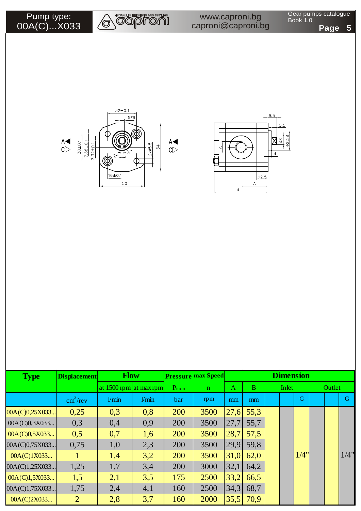







| <b>Type</b>    | <b>Displacement</b>      | <b>Flow</b>              |       |           | <b>Pressure max Speed</b> |              |      |       | <b>Dimension</b> |        |      |  |  |
|----------------|--------------------------|--------------------------|-------|-----------|---------------------------|--------------|------|-------|------------------|--------|------|--|--|
|                |                          | at $1500$ rpm at max rpm |       | $P_{nom}$ | $\mathbf n$               | $\mathbf{A}$ | B.   | Inlet |                  | Outlet |      |  |  |
|                | $\text{cm}^3/\text{rev}$ | 1/min                    | 1/min | bar       | rpm                       | mm           | mm   |       | G                |        | G    |  |  |
| 00A(C)0,25X033 | 0,25                     | 0,3                      | 0,8   | 200       | 3500                      | 27,6         | 55,3 |       |                  |        |      |  |  |
| 00A(C)0,3X033  | 0,3                      | 0,4                      | 0,9   | 200       | 3500                      | 27,7         | 55,7 |       |                  |        |      |  |  |
| 00A(C)0,5X033  | 0,5                      | 0,7                      | 1,6   | 200       | 3500                      | 28,7         | 57,5 |       |                  |        |      |  |  |
| 00A(C)0,75X033 | 0,75                     | 1,0                      | 2,3   | 200       | 3500                      | 29,9         | 59,8 |       |                  |        |      |  |  |
| 00A(C)1X033    |                          | 1,4                      | 3,2   | 200       | 3500                      | 31,0         | 62,0 |       | 1/4"             |        | 1/4" |  |  |
| 00A(C)1,25X033 | 1,25                     | 1,7                      | 3,4   | 200       | 3000                      | 32,1         | 64,2 |       |                  |        |      |  |  |
| 00A(C)1,5X033  | 1,5                      | 2,1                      | 3,5   | 175       | 2500                      | 33,2         | 66,5 |       |                  |        |      |  |  |
| 00A(C)1,75X033 | 1,75                     | 2,4                      | 4,1   | 160       | 2500                      | 34,3         | 68,7 |       |                  |        |      |  |  |
| 00A(C)2X033    | $\overline{2}$           | 2,8                      | 3,7   | 160       | 2000                      | 35,5         | 70,9 |       |                  |        |      |  |  |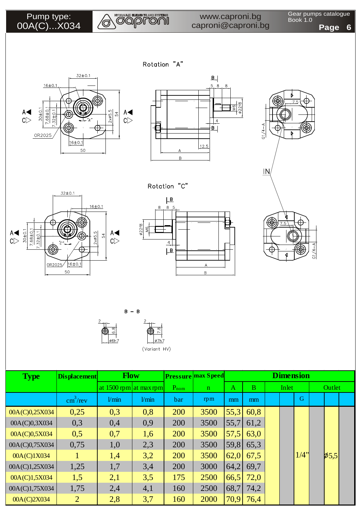## Pump type: 00A(C)...X034



www.caproni.bg caproni@caproni.bg Gear pumps catalogue Book 1.0

**Page 6**











Rotation "A"





| <b>Type</b>    | <b>Displacement</b>      | <b>Flow</b>            |       |      | <b>Pressure max Speed</b> |                |              |       | <b>Dimension</b> |             |  |
|----------------|--------------------------|------------------------|-------|------|---------------------------|----------------|--------------|-------|------------------|-------------|--|
|                |                          | at 1500 rpm at max rpm |       | Pnom | n                         | $\overline{A}$ | <sub>B</sub> | Inlet |                  | Outlet      |  |
|                | $\text{cm}^3/\text{rev}$ | 1/min                  | 1/min | bar  | rpm                       | mm             | mm           |       | $\mathbf G$      |             |  |
| 00A(C)0,25X034 | 0,25                     | 0,3                    | 0,8   | 200  | 3500                      | 55,3           | 60,8         |       |                  |             |  |
| 00A(C)0,3X034  | 0,3                      | 0,4                    | 0,9   | 200  | 3500                      | 55,7           | 61,2         |       |                  |             |  |
| 00A(C)0,5X034  | 0,5                      | 0,7                    | 1,6   | 200  | 3500                      | 57,5           | 63,0         |       |                  |             |  |
| 00A(C)0,75X034 | 0,75                     | 1,0                    | 2,3   | 200  | 3500                      | 59,8           | 65,3         |       |                  |             |  |
| 00A(C)1X034    |                          | 1,4                    | 3,2   | 200  | 3500                      | 62,0           | 67,5         |       | 1/4"             | $\beta$ 5.5 |  |
| 00A(C)1,25X034 | 1,25                     | 1,7                    | 3,4   | 200  | 3000                      | 64,2           | 69,7         |       |                  |             |  |
| 00A(C)1,5X034  | 1,5                      | 2,1                    | 3,5   | 175  | 2500                      | 66,5           | 72,0         |       |                  |             |  |
| 00A(C)1,75X034 | 1,75                     | 2,4                    | 4,1   | 160  | 2500                      | 68,7           | 74,2         |       |                  |             |  |
| 00A(C)2X034    | $\overline{2}$           | 2,8                    | 3,7   | 160  | 2000                      | 70,9           | 76,4         |       |                  |             |  |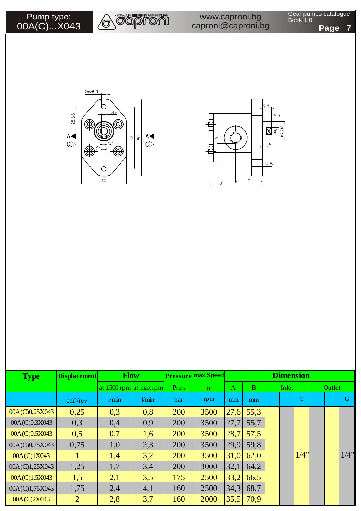









| <b>Type</b>    | <b>Displacement</b>      | <b>Flow</b>            |       |      | <b>Pressure max Speed</b> | <b>Dimension</b> |              |       |  |      |        |             |  |  |
|----------------|--------------------------|------------------------|-------|------|---------------------------|------------------|--------------|-------|--|------|--------|-------------|--|--|
|                |                          | at 1500 rpm at max rpm |       | Pnom | $\mathbf{n}$              | A                | $\mathbf{B}$ | Inlet |  |      | Outlet |             |  |  |
|                | $\text{cm}^3/\text{rev}$ | 1/min                  | 1/min | bar  | rpm                       | mm               | mm           |       |  | G    |        | $\mathbf G$ |  |  |
| 00A(C)0,25X043 | 0,25                     | 0,3                    | 0,8   | 200  | 3500                      | 27,6             | 55,3         |       |  |      |        |             |  |  |
| 00A(C)0,3X043  | 0,3                      | 0,4                    | 0,9   | 200  | 3500                      | 27,7             | 55,7         |       |  |      |        |             |  |  |
| 00A(C)0,5X043  | 0,5                      | 0,7                    | 1,6   | 200  | 3500                      | 28,7             | 57,5         |       |  |      |        |             |  |  |
| 00A(C)0,75X043 | 0,75                     | 1,0                    | 2,3   | 200  | 3500                      | 29,9             | 59,8         |       |  |      |        |             |  |  |
| 00A(C)1X043    |                          | 1,4                    | 3,2   | 200  | 3500                      | 31,0             | 62,0         |       |  | 1/4" |        | 1/4"        |  |  |
| 00A(C)1,25X043 | 1,25                     | 1,7                    | 3,4   | 200  | 3000                      | 32,1             | 64,2         |       |  |      |        |             |  |  |
| 00A(C)1,5X043  | 1,5                      | 2,1                    | 3,5   | 175  | 2500                      | 33,2             | 66,5         |       |  |      |        |             |  |  |
| 00A(C)1,75X043 | 1,75                     | 2,4                    | 4,1   | 160  | 2500                      | 34,3             | 68,7         |       |  |      |        |             |  |  |
| 00A(C)2X043    | $\overline{2}$           | 2,8                    | 3,7   | 160  | 2000                      | 35,5             | 70,9         |       |  |      |        |             |  |  |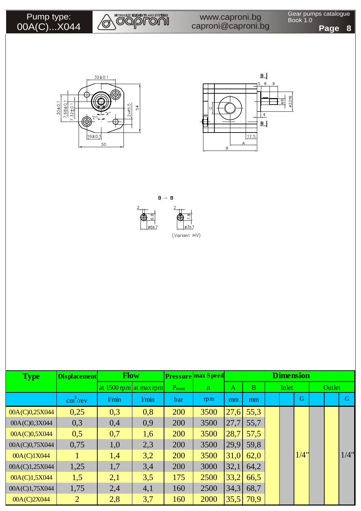Pump type: 00A(C)...X044



www.caproni.bg caproni@caproni.bg Gear pumps catalogue Book 1.0 **Page 8**







| <b>Type</b>    | <b>Displacement</b>      | <b>Flow</b>              |       |      | <b>Pressure max Speed</b> | <b>Dimension</b>             |      |  |  |       |  |  |      |        |  |
|----------------|--------------------------|--------------------------|-------|------|---------------------------|------------------------------|------|--|--|-------|--|--|------|--------|--|
|                |                          | at $1500$ rpm at max rpm |       | Pnom | $\mathbf{n}$              | <sub>B</sub><br>$\mathbf{A}$ |      |  |  | Inlet |  |  |      | Outlet |  |
|                | $\text{cm}^3/\text{rev}$ | 1/min                    | 1/min | bar  | rpm                       | mm                           | mm   |  |  | G     |  |  | G    |        |  |
| 00A(C)0,25X044 | 0,25                     | 0,3                      | 0,8   | 200  | 3500                      | 27,6                         | 55,3 |  |  |       |  |  |      |        |  |
| 00A(C)0,3X044  | 0,3                      | 0,4                      | 0,9   | 200  | 3500                      | 27,7                         | 55,7 |  |  |       |  |  |      |        |  |
| 00A(C)0,5X044  | 0,5                      | 0,7                      | 1,6   | 200  | 3500                      | 28,7                         | 57,5 |  |  |       |  |  |      |        |  |
| 00A(C)0,75X044 | 0,75                     | 1,0                      | 2,3   | 200  | 3500                      | 29,9                         | 59,8 |  |  |       |  |  |      |        |  |
| 00A(C)1X044    |                          | 1,4                      | 3,2   | 200  | 3500                      | 31,0                         | 62,0 |  |  | 1/4"  |  |  | 1/4" |        |  |
| 00A(C)1,25X044 | 1,25                     | 1,7                      | 3,4   | 200  | 3000                      | 32,1                         | 64,2 |  |  |       |  |  |      |        |  |
| 00A(C)1,5X044  | 1,5                      | 2,1                      | 3,5   | 175  | 2500                      | 33,2                         | 66,5 |  |  |       |  |  |      |        |  |
| 00A(C)1,75X044 | 1,75                     | 2,4                      | 4,1   | 160  | 2500                      | 34,3                         | 68,7 |  |  |       |  |  |      |        |  |
| 00A(C)2X044    | $\overline{2}$           | 2,8                      | 3,7   | 160  | 2000                      | 35,5                         | 70,9 |  |  |       |  |  |      |        |  |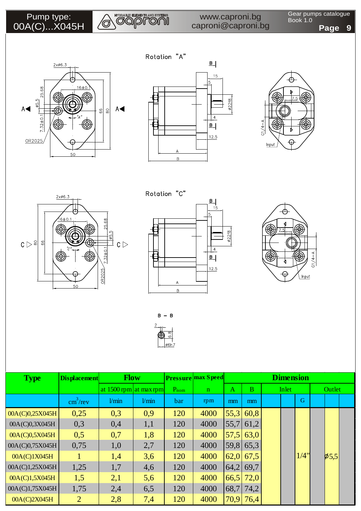

Gear pumps catalogue Book 1.0













 $B - B$ <u>ି ଅ</u>  $\frac{1}{\sqrt{6h}}$ 

| <b>Type</b>     | <b>Displacement</b>      | <b>Flow</b>            |       |      | <b>Pressure max Speed</b> |      | <b>Dimension</b> |       |  |      |        |             |  |
|-----------------|--------------------------|------------------------|-------|------|---------------------------|------|------------------|-------|--|------|--------|-------------|--|
|                 |                          | at 1500 rpm at max rpm |       | Pnom | $\mathbf n$               | A    | $\mathbf{B}$     | Inlet |  |      | Outlet |             |  |
|                 | $\text{cm}^3/\text{rev}$ | l/min                  | 1/min | bar  | rpm                       | mm   | mm               |       |  | G    |        |             |  |
| 00A(C)0,25X045H | 0,25                     | 0,3                    | 0,9   | 120  | 4000                      | 55,3 | 60,8             |       |  |      |        |             |  |
| 00A(C)0,3X045H  | 0,3                      | 0,4                    | 1,1   | 120  | 4000                      | 55,7 | 61,2             |       |  |      |        |             |  |
| 00A(C)0,5X045H  | 0,5                      | 0,7                    | 1,8   | 120  | 4000                      | 57,5 | 63,0             |       |  |      |        |             |  |
| 00A(C)0,75X045H | 0,75                     | 1,0                    | 2,7   | 120  | 4000                      |      | $59,8$ 65,3      |       |  |      |        |             |  |
| 00A(C)1X045H    |                          | 1,4                    | 3,6   | 120  | 4000                      |      | $62,0$ 67,5      |       |  | 1/4" |        | $\beta$ 5,5 |  |
| 00A(C)1,25X045H | 1,25                     | 1,7                    | 4,6   | 120  | 4000                      | 64,2 | 69,7             |       |  |      |        |             |  |
| 00A(C)1,5X045H  | 1,5                      | 2,1                    | 5,6   | 120  | 4000                      |      | $66,5$ 72,0      |       |  |      |        |             |  |
| 00A(C)1,75X045H | 1,75                     | 2,4                    | 6,5   | 120  | 4000                      |      | 68,7 74,2        |       |  |      |        |             |  |
| 00A(C)2X045H    | $\overline{2}$           | 2,8                    | 7,4   | 120  | 4000                      | 70,9 | 76,4             |       |  |      |        |             |  |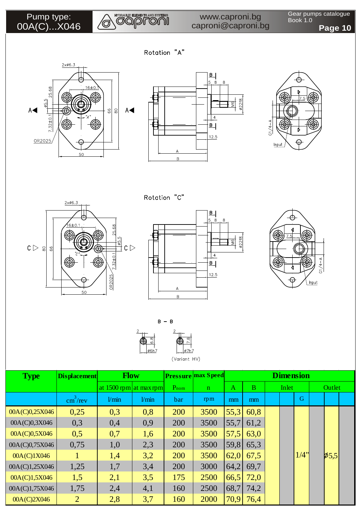

Gear pumps catalogue Book 1.0 **Page 10**







Rotation "C"

Rotation "A"







 $B - B$  $\frac{8}{6}$  $\frac{1}{\cancel{66h7}}$ (Variant HV)

| <b>Type</b>    | <b>Displacement</b>      | <b>Flow</b>            |       |      | <b>Pressure max Speed</b> |              |                |  |       | <b>Dimension</b> |  |                          |  |
|----------------|--------------------------|------------------------|-------|------|---------------------------|--------------|----------------|--|-------|------------------|--|--------------------------|--|
|                |                          | at 1500 rpm at max rpm |       | Pnom | $\mathbf{n}$              | $\mathbf{A}$ | $\overline{B}$ |  | Inlet |                  |  | Outlet                   |  |
|                | $\text{cm}^3/\text{rev}$ | 1/min                  | 1/min | bar  | rpm                       | mm           | mm             |  |       | G                |  |                          |  |
| 00A(C)0,25X046 | 0,25                     | 0,3                    | 0,8   | 200  | 3500                      | 55,3         | 60,8           |  |       |                  |  |                          |  |
| 00A(C)0,3X046  | 0,3                      | 0,4                    | 0,9   | 200  | 3500                      | 55,7         | 61,2           |  |       |                  |  |                          |  |
| 00A(C)0,5X046  | 0,5                      | 0,7                    | 1,6   | 200  | 3500                      | 57,5         | 63,0           |  |       |                  |  |                          |  |
| 00A(C)0,75X046 | 0,75                     | 1,0                    | 2,3   | 200  | 3500                      | 59,8         | 65,3           |  |       |                  |  |                          |  |
| 00A(C)1X046    |                          | 1,4                    | 3,2   | 200  | 3500                      | 62,0         | 67,5           |  |       | 1/4"             |  | $\vert \phi_{5,5} \vert$ |  |
| 00A(C)1,25X046 | 1,25                     | 1,7                    | 3,4   | 200  | 3000                      | 64,2         | 69,7           |  |       |                  |  |                          |  |
| 00A(C)1,5X046  | 1,5                      | 2,1                    | 3,5   | 175  | 2500                      | 66,5         | 72,0           |  |       |                  |  |                          |  |
| 00A(C)1,75X046 | 1,75                     | 2,4                    | 4,1   | 160  | 2500                      | 68,7         | 74,2           |  |       |                  |  |                          |  |
| 00A(C)2X046    | $\overline{2}$           | 2,8                    | 3,7   | 160  | 2000                      | 70,9         | 76,4           |  |       |                  |  |                          |  |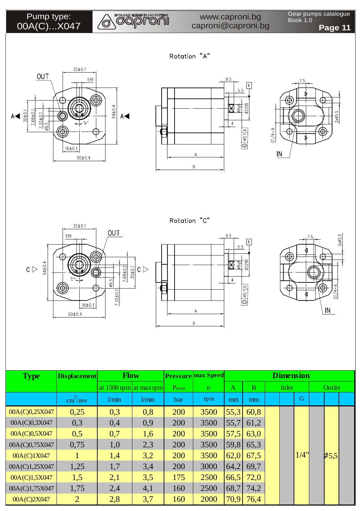## Pump type: 00A(C)...X047



## www.caproni.bg caproni@caproni.bg

Gear pumps catalogue Book 1.0 **Page 11**

Rotation "A"







Rotation "C"







| <b>Type</b>    | <b>Displacement</b>      | <b>Flow</b>            |       |      | <b>Pressure max Speed</b> |              |      |       | <b>Dimension</b> |             |  |
|----------------|--------------------------|------------------------|-------|------|---------------------------|--------------|------|-------|------------------|-------------|--|
|                |                          | at 1500 rpm at max rpm |       | Pnom | $\mathbf n$               | $\mathbf{A}$ | B    | Inlet |                  | Outlet      |  |
|                | $\text{cm}^3/\text{rev}$ | 1/min                  | 1/min | bar  | rpm                       | mm           | mm   |       | G                |             |  |
| 00A(C)0,25X047 | 0,25                     | 0,3                    | 0,8   | 200  | 3500                      | 55,3         | 60,8 |       |                  |             |  |
| 00A(C)0,3X047  | 0,3                      | 0,4                    | 0,9   | 200  | 3500                      | 55,7         | 61,2 |       |                  |             |  |
| 00A(C)0,5X047  | 0,5                      | 0,7                    | 1,6   | 200  | 3500                      | 57,5         | 63,0 |       |                  |             |  |
| 00A(C)0,75X047 | 0,75                     | 1,0                    | 2,3   | 200  | 3500                      | 59,8         | 65,3 |       |                  |             |  |
| 00A(C)1X047    |                          | 1,4                    | 3,2   | 200  | 3500                      | 62,0         | 67,5 |       | 1/4"             | $ p_{5,5} $ |  |
| 00A(C)1,25X047 | 1,25                     | 1,7                    | 3,4   | 200  | 3000                      | 64,2         | 69,7 |       |                  |             |  |
| 00A(C)1,5X047  | 1,5                      | 2,1                    | 3,5   | 175  | 2500                      | 66,5         | 72,0 |       |                  |             |  |
| 00A(C)1,75X047 | 1,75                     | 2,4                    | 4,1   | 160  | 2500                      | 68,7         | 74,2 |       |                  |             |  |
| 00A(C)2X047    | $\overline{2}$           | 2,8                    | 3,7   | 160  | 2000                      | 70,9         | 76,4 |       |                  |             |  |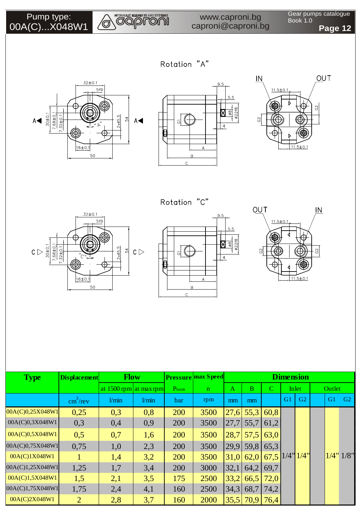

Rotation "A"







 $32 \pm 0.1$  $5f9$ C<br>  $\frac{30\pm0.1}{7.68\pm0.1}$  $2 \times 05.5$  $\mathsf{c} \triangleright$  $\frac{54}{5}$  $16 \pm 0.1$ 50





| <b>Type</b>      | <b>Displacement</b>      | <b>Flow</b>              |       |      | <b>Pressure max Speed</b> |      |             |                      | <b>Dimension</b> |    |        |           |
|------------------|--------------------------|--------------------------|-------|------|---------------------------|------|-------------|----------------------|------------------|----|--------|-----------|
|                  |                          | at $1500$ rpm at max rpm |       | Pnom | $\mathbf{n}$              | A    | $\bf{B}$    | C                    | Inlet            |    | Outlet |           |
|                  | $\text{cm}^3/\text{rev}$ | l/min                    | 1/min | bar  | rpm                       | mm   | mm          |                      | G1               | G2 | G1     | G2        |
| 00A(C)0,25X048W1 | 0,25                     | 0,3                      | 0,8   | 200  | 3500                      |      | $27,6$ 55,3 | 60,8                 |                  |    |        |           |
| 00A(C)0,3X048W1  | 0,3                      | 0,4                      | 0,9   | 200  | 3500                      | 27,7 | 55,7        | 61,2                 |                  |    |        |           |
| 00A(C)0,5X048W1  | 0,5                      | 0,7                      | 1,6   | 200  | 3500                      | 28,7 | 57,5        | 63,0                 |                  |    |        |           |
| 00A(C)0,75X048W1 | 0.75                     | 1,0                      | 2,3   | 200  | 3500                      | 29,9 | 59,8        | 65,3                 |                  |    |        |           |
| 00A(C)1X048W1    |                          | 1,4                      | 3,2   | 200  | 3500                      | 31,0 | 62,0        | 67,5 $1/4$ " $1/4$ " |                  |    |        | 1/4" 1/8" |
| 00A(C)1,25X048W1 | 1,25                     | 1,7                      | 3,4   | 200  | 3000                      | 32,1 | 64,2        | 69,7                 |                  |    |        |           |
| 00A(C)1,5X048W1  | 1,5                      | 2,1                      | 3,5   | 175  | 2500                      | 33,2 | 66,5        | 72,0                 |                  |    |        |           |
| 00A(C)1,75X048W1 | 1,75                     | 2,4                      | 4,1   | 160  | 2500                      | 34,3 | 68,7        | 74,2                 |                  |    |        |           |
| 00A(C)2X048W1    | $\overline{2}$           | 2,8                      | 3,7   | 160  | 2000                      | 35,5 | 70,9        | 76,4                 |                  |    |        |           |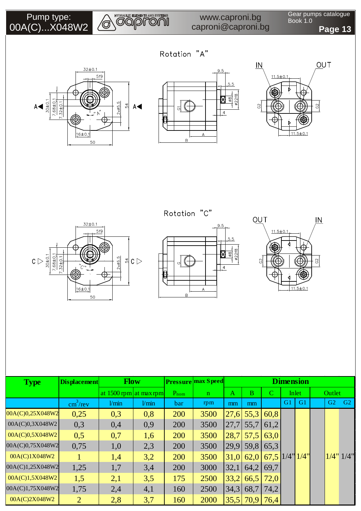

**Page 13**

Rotation "A"







 $32 \pm 0.1$  $5f9$  $\text{C} \triangleright \text{array}$ <br> $\frac{30\pm0.1}{7.68\pm0.1}$  $2 \times 65.5$  $\frac{1}{4}$  C  $\triangleright$  $16 \pm 0.1$ 50





| <b>Type</b>      | <b>Displacement</b>      | <b>Flow</b>            |       |            | <b>Pressure max Speed</b> |      |              |        |                | <b>Dimension</b> |                |           |
|------------------|--------------------------|------------------------|-------|------------|---------------------------|------|--------------|--------|----------------|------------------|----------------|-----------|
|                  |                          | at 1500 rpm at max rpm |       | Pnom       | $\mathbf{n}$              | A    | <sub>B</sub> | C      |                | Inlet            | Outlet         |           |
|                  | $\text{cm}^3/\text{rev}$ | l/min                  | 1/min | bar        | rpm                       | mm   | mm           |        | G <sub>1</sub> | G <sub>1</sub>   | G <sub>2</sub> | G2        |
| 00A(C)0,25X048W2 | 0,25                     | 0,3                    | 0,8   | 200        | 3500                      | 27,6 | 55,3         | 60,8   |                |                  |                |           |
| 00A(C)0,3X048W2  | 0,3                      | 0,4                    | 0,9   | 200        | 3500                      | 27,7 | 55,7         | 61,2   |                |                  |                |           |
| 00A(C)0,5X048W2  | 0,5                      | 0,7                    | 1,6   | <b>200</b> | 3500                      | 28,7 | 57,5         | 63,0   |                |                  |                |           |
| 00A(C)0,75X048W2 | 0,75                     | 1,0                    | 2,3   | 200        | 3500                      | 29,9 | 59,8         | 65,3   |                |                  |                |           |
| 00A(C)1X048W2    |                          | 1,4                    | 3,2   | <b>200</b> | 3500                      | 31,0 | 62,0         | $67,5$ |                | $1/4$ " $1/4$ "  |                | 1/4" 1/4" |
| 00A(C)1,25X048W2 | 1,25                     | 1,7                    | 3,4   | 200        | 3000                      | 32,1 | 64,2         | 69,7   |                |                  |                |           |
| 00A(C)1,5X048W2  | 1,5                      | 2,1                    | 3,5   | 175        | 2500                      | 33,2 | 66,5         | 72,0   |                |                  |                |           |
| 00A(C)1,75X048W2 | 1,75                     | 2,4                    | 4,1   | 160        | 2500                      | 34,3 | 68,7         | 74,2   |                |                  |                |           |
| 00A(C)2X048W2    | $\overline{2}$           | 2,8                    | 3,7   | 160        | 2000                      | 35,5 | 70,9         | 76,4   |                |                  |                |           |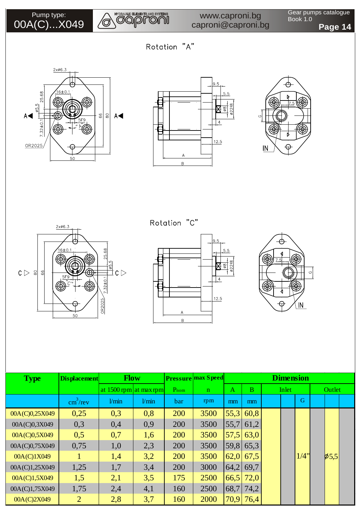

Gear pumps catalogue Book 1.0

**Page 14**

Rotation "A"









Rotation "C"





| <b>Type</b>    | <b>Displacement</b>      | <b>Flow</b>            |       |      | <b>Pressure max Speed</b> |      |             |       | <b>Dimension</b> |             |  |
|----------------|--------------------------|------------------------|-------|------|---------------------------|------|-------------|-------|------------------|-------------|--|
|                |                          | at 1500 rpm at max rpm |       | Pnom | n                         | A    | $\bf{B}$    | Inlet |                  | Outlet      |  |
|                | $\text{cm}^3/\text{rev}$ | l/min                  | 1/min | bar  | rpm                       | mm   | mm          |       | G                |             |  |
| 00A(C)0,25X049 | 0,25                     | 0,3                    | 0,8   | 200  | 3500                      |      | $55,3$ 60.8 |       |                  |             |  |
| 00A(C)0,3X049  | 0,3                      | 0,4                    | 0,9   | 200  | 3500                      | 55,7 | 61,2        |       |                  |             |  |
| 00A(C)0,5X049  | 0,5                      | 0,7                    | 1,6   | 200  | 3500                      |      | $57,5$ 63,0 |       |                  |             |  |
| 00A(C)0,75X049 | 0,75                     | 1,0                    | 2,3   | 200  | 3500                      |      | $59,8$ 65,3 |       |                  |             |  |
| 00A(C)1X049    |                          | 1,4                    | 3,2   | 200  | 3500                      |      | $62,0$ 67,5 |       | 1/4"             | $ p_{5,5} $ |  |
| 00A(C)1,25X049 | 1,25                     | 1,7                    | 3,4   | 200  | 3000                      | 64,2 | 69,7        |       |                  |             |  |
| 00A(C)1,5X049  | 1,5                      | 2,1                    | 3,5   | 175  | 2500                      |      | $66,5$ 72,0 |       |                  |             |  |
| 00A(C)1,75X049 | 1,75                     | 2,4                    | 4,1   | 160  | 2500                      | 68,7 | 74,2        |       |                  |             |  |
| 00A(C)2X049    | $\overline{2}$           | 2,8                    | 3,7   | 160  | 2000                      |      | $70,9$ 76,4 |       |                  |             |  |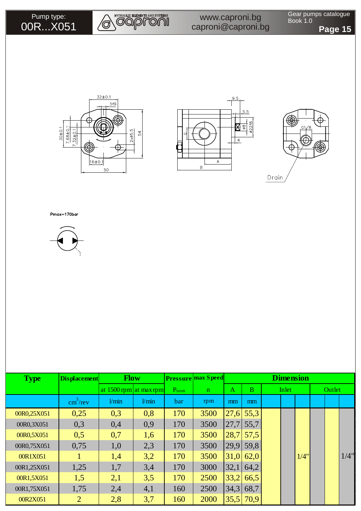









| <b>Type</b> | <b>Displacement</b>      | <b>Flow</b>            |       |      | <b>Pressure max Speed</b> |      |             |       | <b>Dimension</b> |        |      |
|-------------|--------------------------|------------------------|-------|------|---------------------------|------|-------------|-------|------------------|--------|------|
|             |                          | at 1500 rpm at max rpm |       | Pnom | $\mathbf{n}$              | A    | B           | Inlet |                  | Outlet |      |
|             | $\text{cm}^3/\text{rev}$ | 1/min                  | 1/min | bar  | rpm                       | mm   | mm          |       |                  |        |      |
| 00R0,25X051 | 0,25                     | 0,3                    | 0,8   | 170  | 3500                      |      | $27,6$ 55,3 |       |                  |        |      |
| 00R0,3X051  | 0,3                      | 0,4                    | 0,9   | 170  | 3500                      |      | $27,7$ 55,7 |       |                  |        |      |
| 00R0,5X051  | 0,5                      | 0,7                    | 1,6   | 170  | 3500                      | 28,7 | 57,5        |       |                  |        |      |
| 00R0,75X051 | 0,75                     | 1,0                    | 2,3   | 170  | 3500                      | 29,9 | 59.8        |       |                  |        |      |
| 00R1X051    |                          | 1,4                    | 3,2   | 170  | 3500                      | 31,0 | 62,0        |       | 1/4"             |        | 1/4" |
| 00R1,25X051 | 1,25                     | 1,7                    | 3,4   | 170  | 3000                      | 32,1 | 64,2        |       |                  |        |      |
| 00R1,5X051  | 1,5                      | 2,1                    | 3,5   | 170  | 2500                      | 33,2 | 66,5        |       |                  |        |      |
| 00R1,75X051 | 1,75                     | 2,4                    | 4,1   | 160  | 2500                      | 34,3 | 68,7        |       |                  |        |      |
| 00R2X051    | $\overline{2}$           | 2,8                    | 3,7   | 160  | 2000                      |      | $35,5$ 70,9 |       |                  |        |      |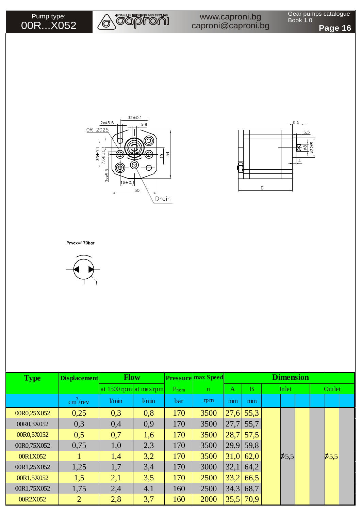









| <b>Type</b> | <b>Displacement</b>      | <b>Flow</b>            |       |      | <b>Pressure max Speed</b> |              |                |             | <b>Dimension</b> |                    |  |
|-------------|--------------------------|------------------------|-------|------|---------------------------|--------------|----------------|-------------|------------------|--------------------|--|
|             |                          | at 1500 rpm at max rpm |       | Pnom | $\mathbf n$               | $\mathbf{A}$ | $\overline{B}$ | Inlet       |                  | Outlet             |  |
|             | $\text{cm}^3/\text{rev}$ | $V$ min                | 1/min | bar  | rpm                       | mm           | mm             |             |                  |                    |  |
| 00R0,25X052 | 0,25                     | 0,3                    | 0,8   | 170  | 3500                      | 27,6         | 55,3           |             |                  |                    |  |
| 00R0,3X052  | 0,3                      | 0,4                    | 0,9   | 170  | 3500                      | 27,7         | 55,7           |             |                  |                    |  |
| 00R0,5X052  | 0,5                      | 0,7                    | 1,6   | 170  | 3500                      | 28,7         | 57,5           |             |                  |                    |  |
| 00R0,75X052 | 0,75                     | 1,0                    | 2,3   | 170  | 3500                      | 29,9         | 59,8           |             |                  |                    |  |
| 00R1X052    |                          | 1,4                    | 3,2   | 170  | 3500                      | 31,0         | 62.0           | $\beta$ 5,5 |                  | $\cancel{p}_{5,5}$ |  |
| 00R1,25X052 | 1,25                     | 1,7                    | 3,4   | 170  | 3000                      | 32,1         | 64,2           |             |                  |                    |  |
| 00R1,5X052  | 1,5                      | 2,1                    | 3,5   | 170  | 2500                      | 33,2         | 66,5           |             |                  |                    |  |
| 00R1,75X052 | 1,75                     | 2,4                    | 4,1   | 160  | 2500                      | 34,3         | 68,7           |             |                  |                    |  |
| 00R2X052    | $\overline{2}$           | 2,8                    | 3,7   | 160  | 2000                      | 35,5         | 70,9           |             |                  |                    |  |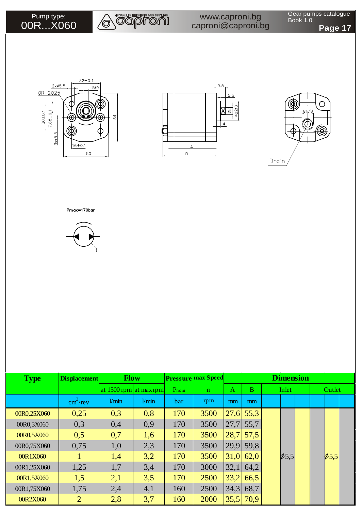Pump type: 00R...X060



www.caproni.bg caproni@caproni.bg Gear pumps catalogue Book 1.0 **Page 17**









| <b>Type</b> | <b>Displacement</b>      | <b>Flow</b>            |       |      | <b>Pressure max Speed</b> |      |              | <b>Dimension</b> |  |                |  |
|-------------|--------------------------|------------------------|-------|------|---------------------------|------|--------------|------------------|--|----------------|--|
|             |                          | at 1500 rpm at max rpm |       | Pnom | $\mathbf n$               | A    | B            | Inlet            |  | Outlet         |  |
|             | $\text{cm}^3/\text{rev}$ | 1/min                  | 1/min | bar  | rpm                       | mm   | mm           |                  |  |                |  |
| 00R0,25X060 | 0,25                     | 0,3                    | 0,8   | 170  | 3500                      |      | $27,6$ 55,3  |                  |  |                |  |
| 00R0,3X060  | 0,3                      | 0,4                    | 0,9   | 170  | 3500                      | 27,7 | 55,7         |                  |  |                |  |
| 00R0,5X060  | 0,5                      | 0,7                    | 1,6   | 170  | 3500                      | 28,7 | 57,5         |                  |  |                |  |
| 00R0,75X060 | 0,75                     | 1,0                    | 2,3   | 170  | 3500                      | 29,9 | 59.8         |                  |  |                |  |
| 00R1X060    |                          | 1,4                    | 3,2   | 170  | 3500                      |      | $31,0$ 62,0  | $\varphi$ 5,5    |  | $\cancel{5,5}$ |  |
| 00R1,25X060 | 1,25                     | 1,7                    | 3,4   | 170  | 3000                      | 32,1 | 64,2         |                  |  |                |  |
| 00R1,5X060  | 1,5                      | 2,1                    | 3,5   | 170  | 2500                      | 33,2 | 66,5<br>68,7 |                  |  |                |  |
| 00R1,75X060 | 1,75                     | 2,4                    | 4,1   | 160  | 2500                      | 34,3 |              |                  |  |                |  |
| 00R2X060    | $\overline{2}$           | 2,8                    | 3,7   | 160  | 2000                      |      | $35,5$ 70,9  |                  |  |                |  |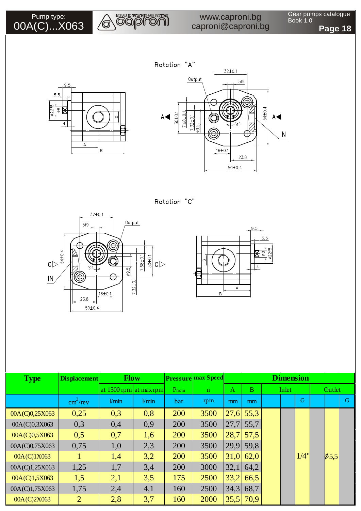Pump type: 00A(C)...X063



## www.caproni.bg caproni@caproni.bg

Gear pumps catalogue Book 1.0













| <b>Type</b>    | <b>Displacement</b>      | <b>Flow</b>            |       |      | <b>Pressure max Speed</b> |              |             | <b>Dimension</b> |             |                          |   |
|----------------|--------------------------|------------------------|-------|------|---------------------------|--------------|-------------|------------------|-------------|--------------------------|---|
|                |                          | at 1500 rpm at max rpm |       | Pnom | $\mathbf{n}$              | $\mathbf{A}$ | B           | Inlet            |             | Outlet                   |   |
|                | $\text{cm}^3/\text{rev}$ | l/min                  | 1/min | bar  | rpm                       | mm           | mm          |                  | $\mathbf G$ |                          | G |
| 00A(C)0,25X063 | 0,25                     | 0,3                    | 0,8   | 200  | 3500                      |              | $27,6$ 55,3 |                  |             |                          |   |
| 00A(C)0,3X063  | 0,3                      | 0,4                    | 0,9   | 200  | 3500                      | 27,7         | 55,7        |                  |             |                          |   |
| 00A(C)0,5X063  | 0,5                      | 0,7                    | 1,6   | 200  | 3500                      |              | $28,7$ 57,5 |                  |             |                          |   |
| 00A(C)0,75X063 | 0,75                     | 1,0                    | 2,3   | 200  | 3500                      |              | $29,9$ 59,8 |                  |             |                          |   |
| 00A(C)1X063    |                          | 1,4                    | 3,2   | 200  | 3500                      |              | $31,0$ 62,0 |                  | 1/4"        | $\vert \phi_{5,5} \vert$ |   |
| 00A(C)1,25X063 | 1,25                     | 1,7                    | 3,4   | 200  | 3000                      | 32,1         | 64,2        |                  |             |                          |   |
| 00A(C)1,5X063  | 1,5                      | 2,1                    | 3,5   | 175  | 2500                      | 33,2         | 66,5        |                  |             |                          |   |
| 00A(C)1,75X063 | 1,75                     | 2,4                    | 4,1   | 160  | 2500                      | 34,3         | 68,7        |                  |             |                          |   |
| 00A(C)2X063    | $\overline{2}$           | 2,8                    | 3,7   | 160  | 2000                      |              | $35,5$ 70,9 |                  |             |                          |   |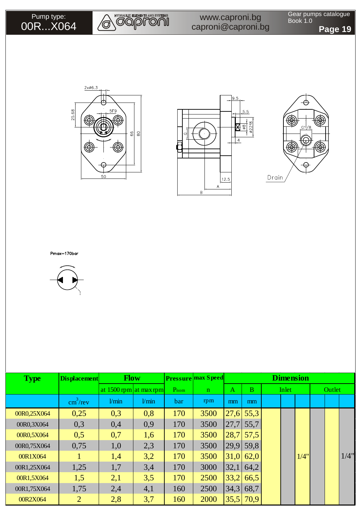









| <b>Type</b> | <b>Displacement</b>      | <b>Flow</b>            |       |      | <b>Pressure max Speed</b> |      |             |       | <b>Dimension</b> |        |      |
|-------------|--------------------------|------------------------|-------|------|---------------------------|------|-------------|-------|------------------|--------|------|
|             |                          | at 1500 rpm at max rpm |       | Pnom | $\mathbf{n}$              | A    | B           | Inlet |                  | Outlet |      |
|             | $\text{cm}^3/\text{rev}$ | 1/min                  | 1/min | bar  | rpm                       | mm   | mm          |       |                  |        |      |
| 00R0,25X064 | 0,25                     | 0,3                    | 0,8   | 170  | 3500                      |      | $27,6$ 55,3 |       |                  |        |      |
| 00R0,3X064  | 0,3                      | 0,4                    | 0,9   | 170  | 3500                      | 27,7 | 55,7        |       |                  |        |      |
| 00R0,5X064  | 0,5                      | 0,7                    | 1,6   | 170  | 3500                      | 28,7 | 57,5        |       |                  |        |      |
| 00R0,75X064 | 0,75                     | 1,0                    | 2,3   | 170  | 3500                      | 29,9 | 59,8        |       |                  |        |      |
| 00R1X064    |                          | 1,4                    | 3,2   | 170  | 3500                      | 31,0 | 62,0        |       | 1/4"             |        | 1/4" |
| 00R1,25X064 | 1,25                     | 1,7                    | 3,4   | 170  | 3000                      | 32,1 | 64,2        |       |                  |        |      |
| 00R1,5X064  | 1,5                      | 2,1                    | 3,5   | 170  | 2500                      | 33,2 | 66,5        |       |                  |        |      |
| 00R1,75X064 | 1,75                     | 2,4                    | 4,1   | 160  | 2500                      | 34,3 | 68,7        |       |                  |        |      |
| 00R2X064    | $\overline{2}$           | 2,8                    | 3,7   | 160  | 2000                      | 35,5 | 70,9        |       |                  |        |      |